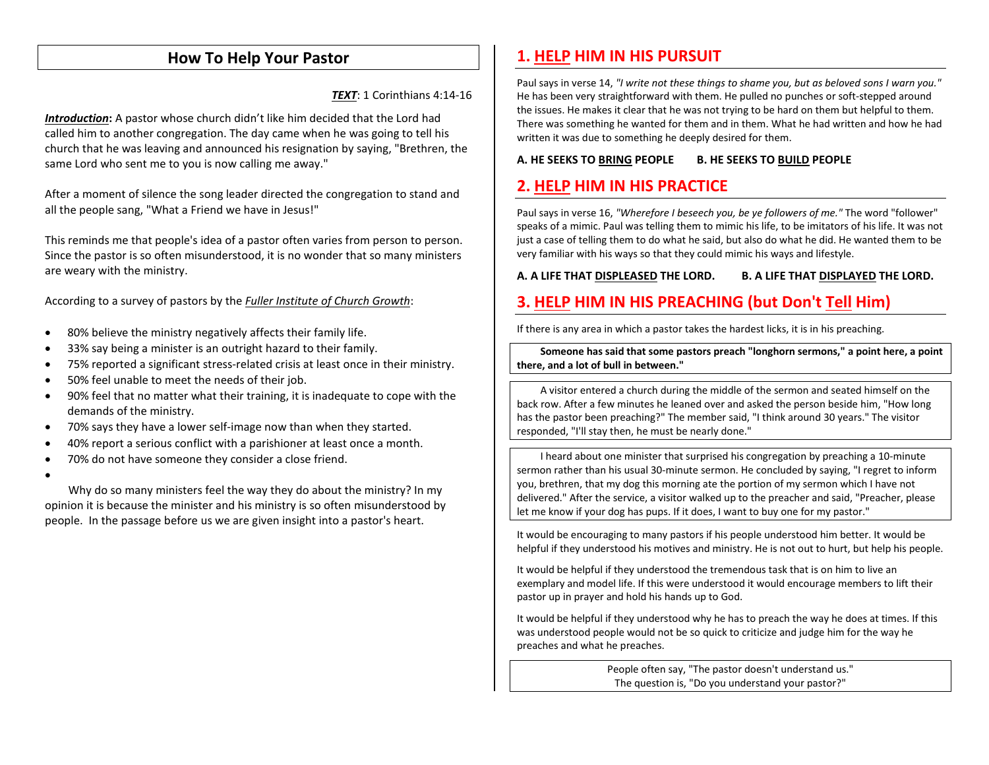## **How To Help Your Pastor**

*TEXT*: 1 Corinthians 4:14-16

**Introduction:** A pastor whose church didn't like him decided that the Lord had called him to another congregation. The day came when he was going to tell his church that he was leaving and announced his resignation by saying, "Brethren, the same Lord who sent me to you is now calling me away."

After a moment of silence the song leader directed the congregation to stand and all the people sang, "What a Friend we have in Jesus!"

This reminds me that people's idea of a pastor often varies from person to person. Since the pastor is so often misunderstood, it is no wonder that so many ministers are weary with the ministry.

According to a survey of pastors by the *Fuller Institute of Church Growth*:

- $\bullet$ 80% believe the ministry negatively affects their family life.
- •33% say being a minister is an outright hazard to their family.
- •75% reported a significant stress-related crisis at least once in their ministry.
- •50% feel unable to meet the needs of their job.
- $\bullet$  90% feel that no matter what their training, it is inadequate to cope with the demands of the ministry.
- •70% says they have a lower self-image now than when they started.
- •40% report a serious conflict with a parishioner at least once a month.
- •70% do not have someone they consider a close friend.
- •

Why do so many ministers feel the way they do about the ministry? In my opinion it is because the minister and his ministry is so often misunderstood by people. In the passage before us we are given insight into a pastor's heart.

# **1. HELP HIM IN HIS PURSUIT**

Paul says in verse 14, *"I write not these things to shame you, but as beloved sons I warn you."* He has been very straightforward with them. He pulled no punches or soft-stepped around the issues. He makes it clear that he was not trying to be hard on them but helpful to them. There was something he wanted for them and in them. What he had written and how he had written it was due to something he deeply desired for them.

#### **A. HE SEEKS TO BRING PEOPLE B. HE SEEKS TO BUILD PEOPLE**

## **2. HELP HIM IN HIS PRACTICE**

Paul says in verse 16, *"Wherefore I beseech you, be ye followers of me."* The word "follower" speaks of a mimic. Paul was telling them to mimic his life, to be imitators of his life. It was not just a case of telling them to do what he said, but also do what he did. He wanted them to be very familiar with his ways so that they could mimic his ways and lifestyle.

**A. A LIFE THAT DISPLEASED THE LORD. B. A LIFE THAT DISPLAYED THE LORD.** 

## **3. HELP HIM IN HIS PREACHING (but Don't Tell Him)**

If there is any area in which a pastor takes the hardest licks, it is in his preaching.

**Someone has said that some pastors preach "longhorn sermons," a point here, a point there, and a lot of bull in between."** 

A visitor entered a church during the middle of the sermon and seated himself on the back row. After a few minutes he leaned over and asked the person beside him, "How long has the pastor been preaching?" The member said, "I think around 30 years." The visitor responded, "I'll stay then, he must be nearly done."

I heard about one minister that surprised his congregation by preaching a 10-minute sermon rather than his usual 30-minute sermon. He concluded by saying, "I regret to inform you, brethren, that my dog this morning ate the portion of my sermon which I have not delivered." After the service, a visitor walked up to the preacher and said, "Preacher, please let me know if your dog has pups. If it does, I want to buy one for my pastor."

It would be encouraging to many pastors if his people understood him better. It would be helpful if they understood his motives and ministry. He is not out to hurt, but help his people.

It would be helpful if they understood the tremendous task that is on him to live an exemplary and model life. If this were understood it would encourage members to lift their pastor up in prayer and hold his hands up to God.

It would be helpful if they understood why he has to preach the way he does at times. If this was understood people would not be so quick to criticize and judge him for the way he preaches and what he preaches.

> People often say, "The pastor doesn't understand us." The question is, "Do you understand your pastor?"